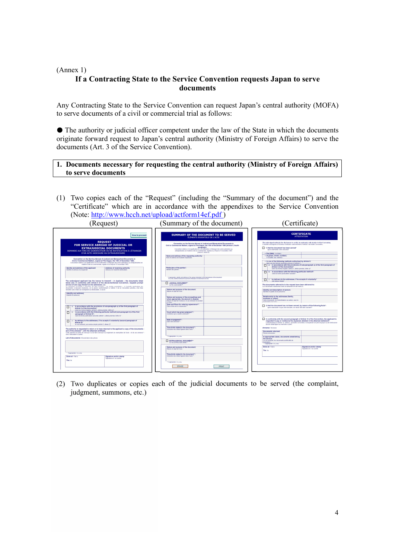#### (Annex 1) **If a Contracting State to the Service Convention requests Japan to serve documents**

Any Contracting State to the Service Convention can request Japan's central authority (MOFA) to serve documents of a civil or commercial trial as follows:

The authority or judicial officer competent under the law of the State in which the documents originate forward request to Japan's central authority (Ministry of Foreign Affairs) to serve the documents (Art. 3 of the Service Convention).

#### **1. Documents necessary for requesting the central authority (Ministry of Foreign Affairs) to serve documents**

(1) Two copies each of the "Request" (including the "Summary of the document") and the "Certificate" which are in accordance with the appendixes to the Service Convention (Note: http://www.hcch.net/upload/actform14ef.pdf )

| (Request)                                                                                                                                                                                                                                                                                                                                                 | (Summary of the document)                                                                                                                                                                                                                                                                                                                                                                                            | Certificate)                                                                                                                                                                                                                                                                                                                               |
|-----------------------------------------------------------------------------------------------------------------------------------------------------------------------------------------------------------------------------------------------------------------------------------------------------------------------------------------------------------|----------------------------------------------------------------------------------------------------------------------------------------------------------------------------------------------------------------------------------------------------------------------------------------------------------------------------------------------------------------------------------------------------------------------|--------------------------------------------------------------------------------------------------------------------------------------------------------------------------------------------------------------------------------------------------------------------------------------------------------------------------------------------|
| How to proceed:                                                                                                                                                                                                                                                                                                                                           | SUMMARY OF THE DOCUMENT TO BE SERVED<br>ÉLÉMENTS ESSENTIELS DE L'ACTE                                                                                                                                                                                                                                                                                                                                                | <b>CERTIFICATE</b><br><b>ATTESTATION</b>                                                                                                                                                                                                                                                                                                   |
| <b>REOUEST</b><br>FOR SERVICE ABROAD OF JUDICIAL OR<br><b>EXTRAJUDICIAL DOCUMENTS</b><br>DEMANDE AUX FINS DE SIGNIFICATION OU DE NOTIFICATION À L'ÉTRANGER<br>D'UN ACTE JUDICIAIRE OU EXTRAJUDICIAIRE                                                                                                                                                     | Convention on the Service Abroad of Judicial and Extrajudicial Documents in<br>Civil or Commercial Matters, signed at The Hague, the 15th of November 1955 (Article 5, fourth<br>paragraph).<br>Convention relative à la signification et à la notification à l'étranger des actes judiciaires ou<br>estrajudicioles en mobles civile ou commerciale, signée à La Haye le 15 novembre 1985<br>(article 5, alivéa 4). | The undersigned authority has the honour to certify, in conformity with Article 6 of the Convention,<br>L'autorité soussignée a l'honneur d'attester conformément à l'article 6 de ladite Convention,<br>1. that the document has been served"<br>que la demande a été coècutée"<br>- the (date) / le (date)                               |
| Convention on the Service Abroad of Judicial and Extrajudicial Documents in<br>Civil or Commercial Matters, signed at The Hague, the 15th of November 1965.<br>Convention relative A la signification et A la notification A l'étranger des actes subciaires ou extrajudiciaires en<br>matère civile ou commerciale, signée à La Haye le 15 novembre 1965 | Name and address of the requesting authority:<br>Nom et adresse de l'autorité requérante                                                                                                                                                                                                                                                                                                                             | - at (place, street, number);<br>à docalité, rue, numéro)<br>- in one of the following methods authorised by Article 5:<br>dans une des formes suivantes prévues à l'article 5<br>a) in accordance with the provisions of sub-paragraph a) of the first paragraph of                                                                       |
| Identity and address of the applicant<br>Address of receiving authority<br>Identité et adresse du requênant<br>Adresse de l'autorité destinataire                                                                                                                                                                                                         | Particulars of the parties":<br>Identité des parties                                                                                                                                                                                                                                                                                                                                                                 | Article 5 of the Convention*<br>selon les formes légales (article 5, alinéa premier, lettre alf<br>[0] in accordance with the following particular method":<br>selon la forme particulière suivante"                                                                                                                                       |
|                                                                                                                                                                                                                                                                                                                                                           | * If appropriate, identify and address of the person interested in the transmission of the document<br>6's y a lieu, identité et adresse de la personne intéressée à la transmission de l'adie                                                                                                                                                                                                                       | c) by delivery to the addresses, if he accepts it voluntarily                                                                                                                                                                                                                                                                              |
| The undersigned applicant has the honour to transmit - in duplicate - the documents listed<br>below and, in conformity with Article 5 of the above-mentioned Convention, requests prompt<br>service of one copy thereof on the addressee, i.e.:                                                                                                           | <b>NUMBER OCCUMENT</b> **<br>ACTE JUDICIAIRE**                                                                                                                                                                                                                                                                                                                                                                       | par remise simple"<br>The documents referred to in the request have been delivered to:<br>Les documents mentionnés dans la demande ont été remis à                                                                                                                                                                                         |
| La raquiesez soussigné a l'honneur de faire panereir - en double exemplaire - à l'autorité destinataire les<br>documents ci-dessous énumérés, en la priant, conformément à l'article 5 de la Convention précitée, d'en faire<br>remettre sans retard un exemplaire au destinataire, à savoir                                                              | Nature and purpose of the document:<br>Nature et objet de l'acte                                                                                                                                                                                                                                                                                                                                                     | Identity and description of person:<br>Mentité et qualité de la personne                                                                                                                                                                                                                                                                   |
| <b>fidentity and address!</b><br>(identée et adresse)                                                                                                                                                                                                                                                                                                     | Nature and purpose of the proceedings and.<br>when appropriate, the amount in dispute:<br>Nature et objet de l'instance, le cas échèant, le montant<br>du Mice                                                                                                                                                                                                                                                       | Relationship to the addressee (family,<br>business or other):<br>Liens de parenté, de subordination ou autres, avec le<br>doctiontains do Facto.                                                                                                                                                                                           |
| in accordance with the provisions of sub-paragraph a) of the first paragraph of<br>П<br>Article 5 of the Convention*                                                                                                                                                                                                                                      | Date and Place for entering appearance"<br>Date et lieu de la comparution"                                                                                                                                                                                                                                                                                                                                           | 2. that the document has not been served, by reason of the following facts":<br>que la demande n'a pas été exécutée, en raison des faits suivants".                                                                                                                                                                                        |
| selon les formes légales (article 5, alinéa premier, lettre a)*<br>b) in accordance with the following particular method (sub-paragraph b) of the first<br>π<br>paragraph of Article 51*:<br>selon la forme particulière suivante (article 5, alinéa premier, lettre b)"                                                                                  | Court which has given judgment":<br>Juridiction qui a rendu la décision*                                                                                                                                                                                                                                                                                                                                             |                                                                                                                                                                                                                                                                                                                                            |
| o by delivery to the addressee. If he accepts it voluntarily (second paragraph of<br>п<br>Article 5V<br>le cas échèant, par remise simple (article 5, alinéa 2)*                                                                                                                                                                                          | Date of judgment":<br>Date de la décision"                                                                                                                                                                                                                                                                                                                                                                           | In conformity with the second paragraph of Article 12 of the Convention, the applicant is<br>requested to pay or reimburse the expenses detailed in the attached statement".<br>Conformément a l'article 12, alinéa 2, de ladite Convention, le requérant est prié de payer ou de rembourser<br>dont le détail figure au mêmoire ci-ioint" |
| The authority is requested to return or to have returned to the applicant a copy of the documents -<br>and of the annexes', with the attached certificate.<br>Celte autorité est priée de renvoyer ou de faire renvoyer au requêrant un exemplaire de l'acte - et de ses annexes" -                                                                       | Time limits stated in the document":<br>Indication das délais figurant dans l'acte^*                                                                                                                                                                                                                                                                                                                                 | Annexes / Assesse<br>Documents returned:<br>Piéces renvoyées                                                                                                                                                                                                                                                                               |
| avec l'attestation ci-jointe.<br>List of documents / financiation des pièces                                                                                                                                                                                                                                                                              | ** If appropriate / s'il y a lieu                                                                                                                                                                                                                                                                                                                                                                                    | In appropriate cases, documents establishing<br>the service:                                                                                                                                                                                                                                                                               |
|                                                                                                                                                                                                                                                                                                                                                           | <b>EXTRAJUDICIAL DOCUMENT"</b><br>ACTE EXTRAJUDICIARE*                                                                                                                                                                                                                                                                                                                                                               | Le cas échéant, les documents justificatifs de<br>Textcution:<br>1. If presentate (Virus last                                                                                                                                                                                                                                              |
|                                                                                                                                                                                                                                                                                                                                                           | Nature and purpose of the document:<br>Nature et chief de l'acte                                                                                                                                                                                                                                                                                                                                                     | Done at / Fat a<br>Signature and/or stamp<br>Signature et / ou cachet<br>The <sub>15th</sub>                                                                                                                                                                                                                                               |
| if appropriate / clava leur<br>Done at / Fait à<br>Signature and/or stamp                                                                                                                                                                                                                                                                                 | Time-limits stated in the document":<br>Indication des délais figurant dans l'acte^*                                                                                                                                                                                                                                                                                                                                 |                                                                                                                                                                                                                                                                                                                                            |
| Simulating of J no carbot<br>The <sub>/ In</sub>                                                                                                                                                                                                                                                                                                          |                                                                                                                                                                                                                                                                                                                                                                                                                      |                                                                                                                                                                                                                                                                                                                                            |
|                                                                                                                                                                                                                                                                                                                                                           | ** If appropriate / s'il y a lies                                                                                                                                                                                                                                                                                                                                                                                    |                                                                                                                                                                                                                                                                                                                                            |
|                                                                                                                                                                                                                                                                                                                                                           | <b>ERASE</b><br>PRINT                                                                                                                                                                                                                                                                                                                                                                                                |                                                                                                                                                                                                                                                                                                                                            |

(2) Two duplicates or copies each of the judicial documents to be served (the complaint, judgment, summons, etc.)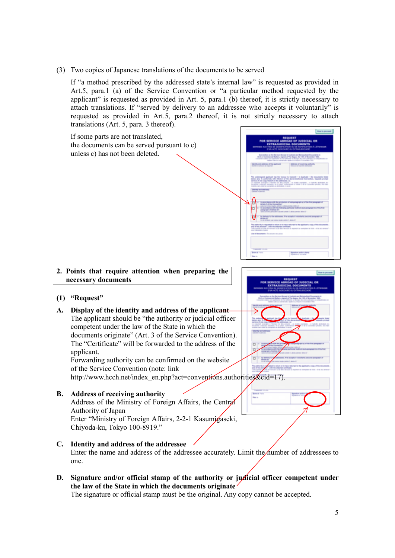(3) Two copies of Japanese translations of the documents to be served

If "a method prescribed by the addressed state's internal law" is requested as provided in Art.5, para.1 (a) of the Service Convention or "a particular method requested by the applicant" is requested as provided in Art. 5, para.1 (b) thereof, it is strictly necessary to attach translations. If "served by delivery to an addressee who accepts it voluntarily" is requested as provided in Art.5, para.2 thereof, it is not strictly necessary to attach translations (Art. 5, para. 3 thereof).

If some parts are not translated, the documents can be served pursuant to c) unless c) has not been deleted.

# **2. Points that require attention when preparing the necessary documents**

# **(1) "Request"**

**A. Display of the identity and address of the applicant** The applicant should be "the authority or judicial officer competent under the law of the State in which the documents originate" (Art. 3 of the Service Convention). The "Certificate" will be forwarded to the address of the applicant.

Forwarding authority can be confirmed on the website of the Service Convention (note: link

http://www.hcch.net/index\_en.php?act=conventions.authorities&cid=17).

# **B. Address of receiving authority**

Address of the Ministry of Foreign Affairs, the Central Authority of Japan

Enter "Ministry of Foreign Affairs, 2-2-1 Kasumigaseki, Chiyoda-ku, Tokyo 100-8919."

**C. Identity and address of the addressee**

Enter the name and address of the addressee accurately. Limit the number of addressees to one.

**D. Signature and/or official stamp of the authority or judicial officer competent under the law of the State in which the documents originate**

The signature or official stamp must be the original. Any copy cannot be accepted.

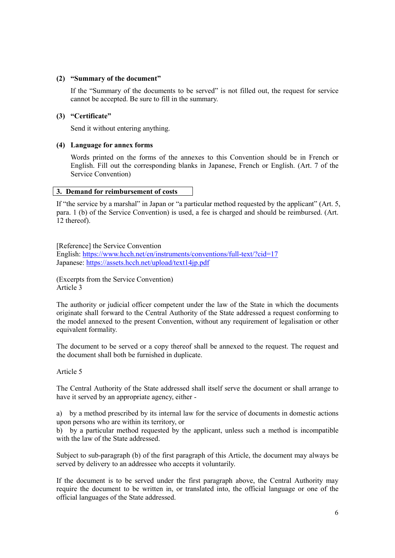## **(2) "Summary of the document"**

If the "Summary of the documents to be served" is not filled out, the request for service cannot be accepted. Be sure to fill in the summary.

## **(3) "Certificate"**

Send it without entering anything.

# **(4) Language for annex forms**

Words printed on the forms of the annexes to this Convention should be in French or English. Fill out the corresponding blanks in Japanese, French or English. (Art. 7 of the Service Convention)

# **3. Demand for reimbursement of costs**

If "the service by a marshal" in Japan or "a particular method requested by the applicant" (Art. 5, para. 1 (b) of the Service Convention) is used, a fee is charged and should be reimbursed. (Art. 12 thereof).

[Reference] the Service Convention English: https://www.hcch.net/en/instruments/conventions/full-text/?cid=17 Japanese: https://assets.hcch.net/upload/text14jp.pdf

(Excerpts from the Service Convention) Article 3

The authority or judicial officer competent under the law of the State in which the documents originate shall forward to the Central Authority of the State addressed a request conforming to the model annexed to the present Convention, without any requirement of legalisation or other equivalent formality.

The document to be served or a copy thereof shall be annexed to the request. The request and the document shall both be furnished in duplicate.

#### Article 5

The Central Authority of the State addressed shall itself serve the document or shall arrange to have it served by an appropriate agency, either -

a) by a method prescribed by its internal law for the service of documents in domestic actions upon persons who are within its territory, or

b) by a particular method requested by the applicant, unless such a method is incompatible with the law of the State addressed.

Subject to sub-paragraph (b) of the first paragraph of this Article, the document may always be served by delivery to an addressee who accepts it voluntarily.

If the document is to be served under the first paragraph above, the Central Authority may require the document to be written in, or translated into, the official language or one of the official languages of the State addressed.